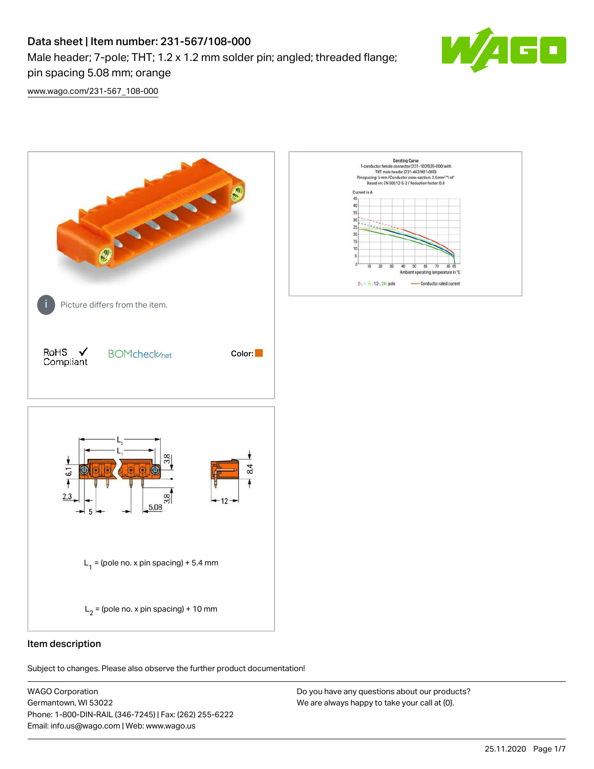# Data sheet | Item number: 231-567/108-000 Male header; 7-pole; THT; 1.2 x 1.2 mm solder pin; angled; threaded flange;



[www.wago.com/231-567\\_108-000](http://www.wago.com/231-567_108-000)

pin spacing 5.08 mm; orange



# Item description

Subject to changes. Please also observe the further product documentation!

WAGO Corporation Germantown, WI 53022 Phone: 1-800-DIN-RAIL (346-7245) | Fax: (262) 255-6222 Email: info.us@wago.com | Web: www.wago.us

Do you have any questions about our products? We are always happy to take your call at {0}.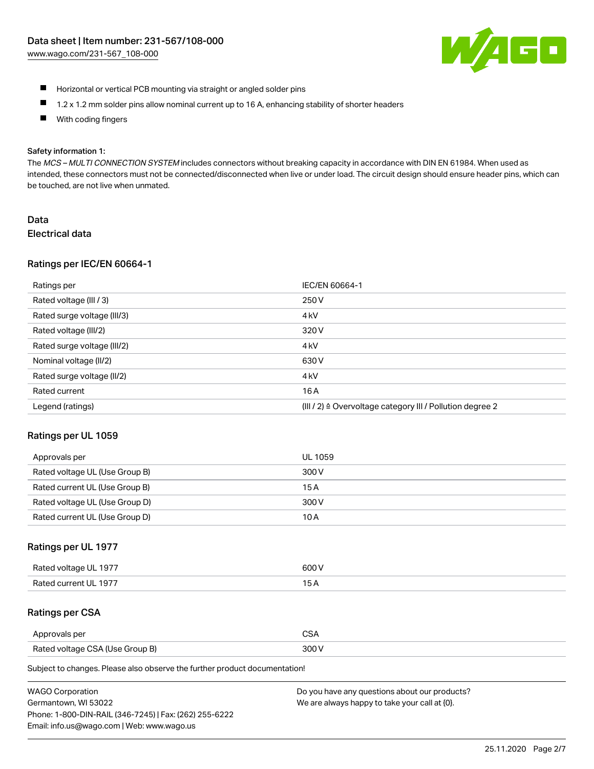

- $\blacksquare$ Horizontal or vertical PCB mounting via straight or angled solder pins
- $\blacksquare$ 1.2 x 1.2 mm solder pins allow nominal current up to 16 A, enhancing stability of shorter headers
- $\blacksquare$ With coding fingers

#### Safety information 1:

The MCS – MULTI CONNECTION SYSTEM includes connectors without breaking capacity in accordance with DIN EN 61984. When used as intended, these connectors must not be connected/disconnected when live or under load. The circuit design should ensure header pins, which can be touched, are not live when unmated.

# Data

### Electrical data

# Ratings per IEC/EN 60664-1

| Ratings per                 | IEC/EN 60664-1                                                       |
|-----------------------------|----------------------------------------------------------------------|
| Rated voltage (III / 3)     | 250 V                                                                |
| Rated surge voltage (III/3) | 4 <sub>k</sub> V                                                     |
| Rated voltage (III/2)       | 320 V                                                                |
| Rated surge voltage (III/2) | 4 <sub>k</sub> V                                                     |
| Nominal voltage (II/2)      | 630 V                                                                |
| Rated surge voltage (II/2)  | 4 <sub>kV</sub>                                                      |
| Rated current               | 16A                                                                  |
| Legend (ratings)            | (III / 2) $\triangleq$ Overvoltage category III / Pollution degree 2 |

# Ratings per UL 1059

| Approvals per                  | UL 1059 |
|--------------------------------|---------|
| Rated voltage UL (Use Group B) | 300 V   |
| Rated current UL (Use Group B) | 15 A    |
| Rated voltage UL (Use Group D) | 300 V   |
| Rated current UL (Use Group D) | 10 A    |

# Ratings per UL 1977

| Rated voltage UL 1977 | 300 V |
|-----------------------|-------|
| Rated current UL 1977 |       |

### Ratings per CSA

| Approvals per                   | ~~    |
|---------------------------------|-------|
| Rated voltage CSA (Use Group B) | 300 V |

Subject to changes. Please also observe the further product documentation!

| <b>WAGO Corporation</b>                                | Do you have any questions about our products? |
|--------------------------------------------------------|-----------------------------------------------|
| Germantown, WI 53022                                   | We are always happy to take your call at {0}. |
| Phone: 1-800-DIN-RAIL (346-7245)   Fax: (262) 255-6222 |                                               |
| Email: info.us@wago.com   Web: www.wago.us             |                                               |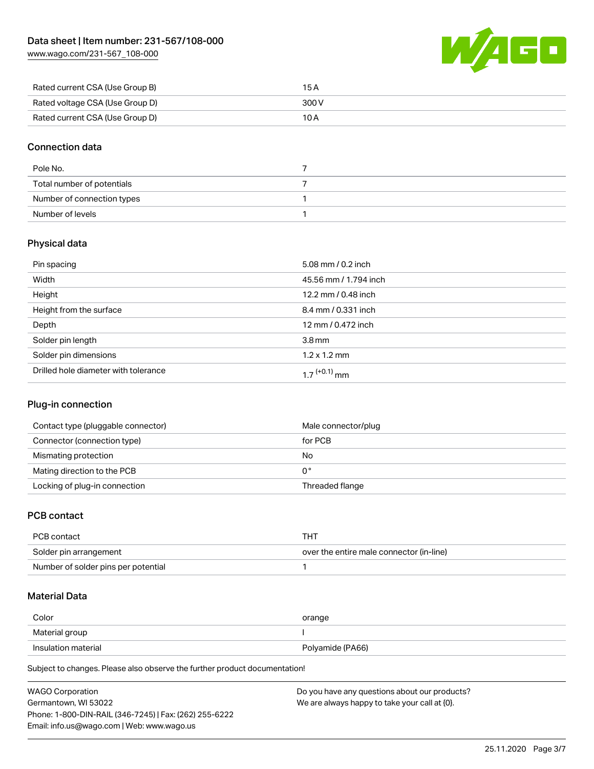[www.wago.com/231-567\\_108-000](http://www.wago.com/231-567_108-000)



| Rated current CSA (Use Group B) | 15 A  |
|---------------------------------|-------|
| Rated voltage CSA (Use Group D) | 300 V |
| Rated current CSA (Use Group D) | 10 A  |

# Connection data

| Pole No.                   |  |
|----------------------------|--|
| Total number of potentials |  |
| Number of connection types |  |
| Number of levels           |  |

# Physical data

| Pin spacing                          | 5.08 mm / $0.2$ inch       |
|--------------------------------------|----------------------------|
| Width                                | 45.56 mm / 1.794 inch      |
| Height                               | 12.2 mm / 0.48 inch        |
| Height from the surface              | 8.4 mm / 0.331 inch        |
| Depth                                | 12 mm / 0.472 inch         |
| Solder pin length                    | $3.8 \,\mathrm{mm}$        |
| Solder pin dimensions                | $1.2 \times 1.2$ mm        |
| Drilled hole diameter with tolerance | $1.7$ <sup>(+0.1)</sup> mm |

# Plug-in connection

| Contact type (pluggable connector) | Male connector/plug |
|------------------------------------|---------------------|
| Connector (connection type)        | for PCB             |
| Mismating protection               | No                  |
| Mating direction to the PCB        | 0°                  |
| Locking of plug-in connection      | Threaded flange     |

# PCB contact

| PCB contact                         | THT                                      |
|-------------------------------------|------------------------------------------|
| Solder pin arrangement              | over the entire male connector (in-line) |
| Number of solder pins per potential |                                          |

# Material Data

| Color               | orange           |
|---------------------|------------------|
| Material group      |                  |
| Insulation material | Polyamide (PA66) |

Subject to changes. Please also observe the further product documentation!

| <b>WAGO Corporation</b>                                | Do you have any questions about our products? |
|--------------------------------------------------------|-----------------------------------------------|
| Germantown, WI 53022                                   | We are always happy to take your call at {0}. |
| Phone: 1-800-DIN-RAIL (346-7245)   Fax: (262) 255-6222 |                                               |
| Email: info.us@wago.com   Web: www.wago.us             |                                               |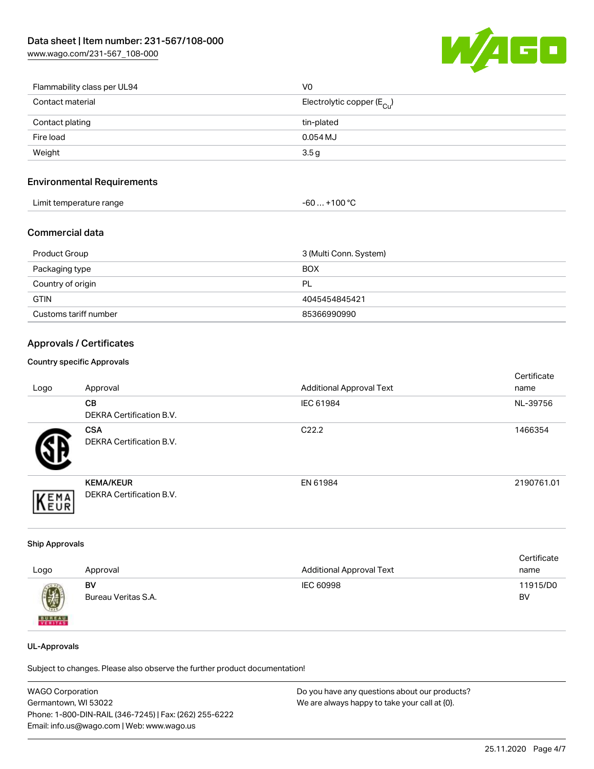[www.wago.com/231-567\\_108-000](http://www.wago.com/231-567_108-000)



| Flammability class per UL94 | V <sub>0</sub>                          |
|-----------------------------|-----------------------------------------|
| Contact material            | Electrolytic copper ( $E_{\text{Cu}}$ ) |
| Contact plating             | tin-plated                              |
| Fire load                   | $0.054$ MJ                              |
| Weight                      | 3.5g                                    |

# Environmental Requirements

| Limit temperature range | .1000<br>-AC<br>ιUΟ |  |
|-------------------------|---------------------|--|
|-------------------------|---------------------|--|

# Commercial data

| Product Group         | 3 (Multi Conn. System) |
|-----------------------|------------------------|
| Packaging type        | <b>BOX</b>             |
| Country of origin     | PL                     |
| <b>GTIN</b>           | 4045454845421          |
| Customs tariff number | 85366990990            |

# Approvals / Certificates

#### Country specific Approvals

| Logo | Approval                                            | <b>Additional Approval Text</b> | Certificate<br>name |
|------|-----------------------------------------------------|---------------------------------|---------------------|
|      | CВ<br><b>DEKRA Certification B.V.</b>               | IEC 61984                       | NL-39756            |
|      | <b>CSA</b><br>DEKRA Certification B.V.              | C <sub>22.2</sub>               | 1466354             |
| EMA  | <b>KEMA/KEUR</b><br><b>DEKRA Certification B.V.</b> | EN 61984                        | 2190761.01          |

# Ship Approvals

|               |                     |                                 | Certificate |
|---------------|---------------------|---------------------------------|-------------|
| Logo          | Approval            | <b>Additional Approval Text</b> | name        |
|               | BV                  | IEC 60998                       | 11915/D0    |
| 9             | Bureau Veritas S.A. |                                 | BV          |
| <b>BUNEAU</b> |                     |                                 |             |

### UL-Approvals

Subject to changes. Please also observe the further product documentation!

| WAGO Corporation                                       | Do you have any questions about our products? |
|--------------------------------------------------------|-----------------------------------------------|
| Germantown, WI 53022                                   | We are always happy to take your call at {0}. |
| Phone: 1-800-DIN-RAIL (346-7245)   Fax: (262) 255-6222 |                                               |
| Email: info.us@wago.com   Web: www.wago.us             |                                               |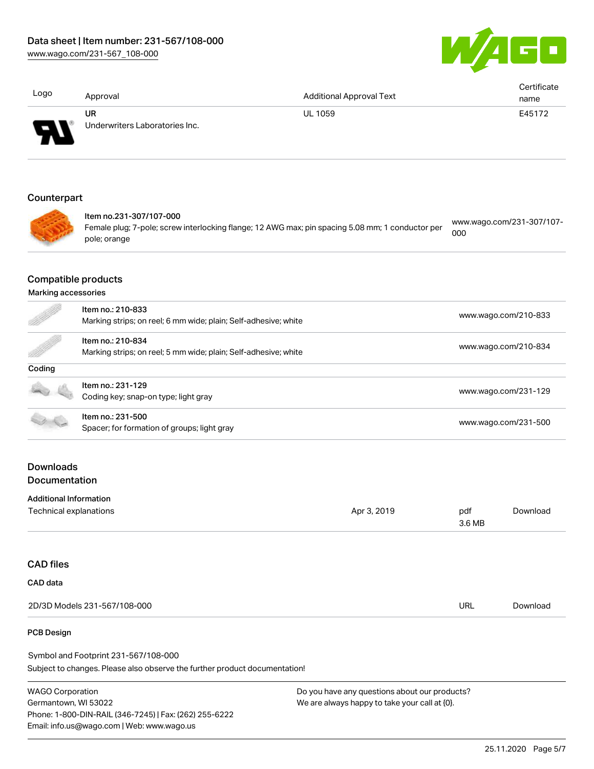[www.wago.com/231-567\\_108-000](http://www.wago.com/231-567_108-000)



| Logo                                                    | Approval                                                                             | <b>Additional Approval Text</b>                                                                  |                      | Certificate<br>name       |  |
|---------------------------------------------------------|--------------------------------------------------------------------------------------|--------------------------------------------------------------------------------------------------|----------------------|---------------------------|--|
|                                                         | <b>UR</b><br>Underwriters Laboratories Inc.                                          | <b>UL 1059</b>                                                                                   |                      | E45172                    |  |
| Counterpart                                             |                                                                                      |                                                                                                  |                      |                           |  |
|                                                         | Item no.231-307/107-000<br>pole; orange                                              | Female plug; 7-pole; screw interlocking flange; 12 AWG max; pin spacing 5.08 mm; 1 conductor per | 000                  | www.wago.com/231-307/107- |  |
| <b>Compatible products</b><br>Marking accessories       |                                                                                      |                                                                                                  |                      |                           |  |
|                                                         | Item no.: 210-833                                                                    | Marking strips; on reel; 6 mm wide; plain; Self-adhesive; white                                  |                      | www.wago.com/210-833      |  |
|                                                         | Item no.: 210-834<br>Marking strips; on reel; 5 mm wide; plain; Self-adhesive; white |                                                                                                  | www.wago.com/210-834 |                           |  |
| Coding                                                  |                                                                                      |                                                                                                  |                      |                           |  |
|                                                         | Item no.: 231-129<br>Coding key; snap-on type; light gray                            |                                                                                                  |                      | www.wago.com/231-129      |  |
|                                                         | Item no.: 231-500<br>Spacer; for formation of groups; light gray                     |                                                                                                  | www.wago.com/231-500 |                           |  |
| <b>Downloads</b><br>Documentation                       |                                                                                      |                                                                                                  |                      |                           |  |
|                                                         |                                                                                      |                                                                                                  |                      |                           |  |
| <b>Additional Information</b><br>Technical explanations |                                                                                      | Apr 3, 2019                                                                                      | pdf<br>3.6 MB        | Download                  |  |
| <b>CAD files</b>                                        |                                                                                      |                                                                                                  |                      |                           |  |
| CAD data                                                |                                                                                      |                                                                                                  |                      |                           |  |
|                                                         |                                                                                      |                                                                                                  |                      |                           |  |
|                                                         | 2D/3D Models 231-567/108-000                                                         |                                                                                                  | <b>URL</b>           | Download                  |  |

#### PCB Design

Subject to changes. Please also observe the further product documentation! Symbol and Footprint 231-567/108-000

WAGO Corporation Germantown, WI 53022 Phone: 1-800-DIN-RAIL (346-7245) | Fax: (262) 255-6222 Email: info.us@wago.com | Web: www.wago.us

Do you have any questions about our products? We are always happy to take your call at {0}.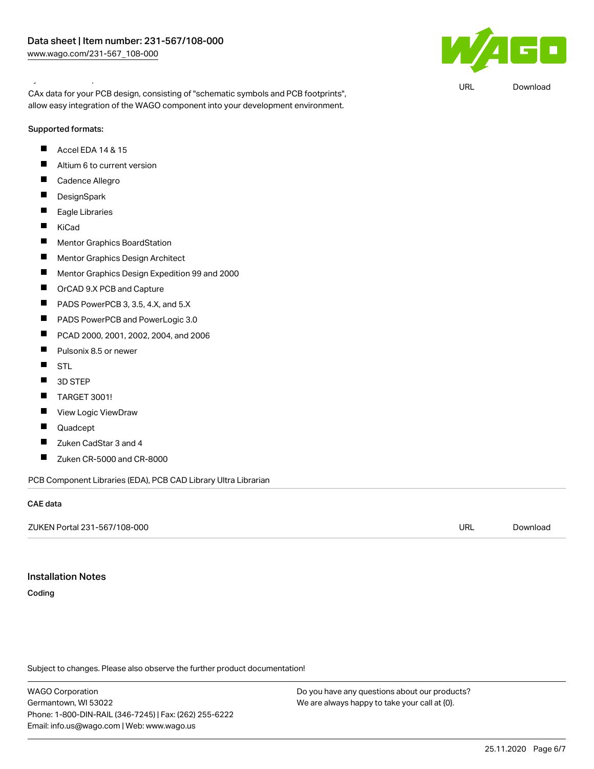### Symbol and Footprint 231-567/108-000

CAx data for your PCB design, consisting of "schematic symbols and PCB footprints", allow easy integration of the WAGO component into your development environment.

Supported formats:

- $\blacksquare$ Accel EDA 14 & 15
- $\blacksquare$ Altium 6 to current version
- $\blacksquare$ Cadence Allegro
- $\blacksquare$ **DesignSpark**
- $\blacksquare$ Eagle Libraries
- $\blacksquare$ KiCad
- $\blacksquare$ Mentor Graphics BoardStation
- $\blacksquare$ Mentor Graphics Design Architect
- $\blacksquare$ Mentor Graphics Design Expedition 99 and 2000
- $\blacksquare$ OrCAD 9.X PCB and Capture
- $\blacksquare$ PADS PowerPCB 3, 3.5, 4.X, and 5.X
- $\blacksquare$ PADS PowerPCB and PowerLogic 3.0
- $\blacksquare$ PCAD 2000, 2001, 2002, 2004, and 2006
- $\blacksquare$ Pulsonix 8.5 or newer
- $\blacksquare$ **STL**
- П 3D STEP
- $\blacksquare$ TARGET 3001!
- П View Logic ViewDraw
- $\blacksquare$ Quadcept
- П Zuken CadStar 3 and 4
- Zuken CR-5000 and CR-8000 П

PCB Component Libraries (EDA), PCB CAD Library Ultra Librarian

#### CAE data

ZUKEN Portal 231-567/108-000 URL [Download](https://www.wago.com/us/d/Zuken_URLS_231-567_108-000)

### Installation Notes

Coding

Subject to changes. Please also observe the further product documentation!

WAGO Corporation Germantown, WI 53022 Phone: 1-800-DIN-RAIL (346-7245) | Fax: (262) 255-6222 Email: info.us@wago.com | Web: www.wago.us

Do you have any questions about our products? We are always happy to take your call at {0}.



URL [Download](https://www.wago.com/us/d/UltraLibrarian_URLS_231-567_108-000)